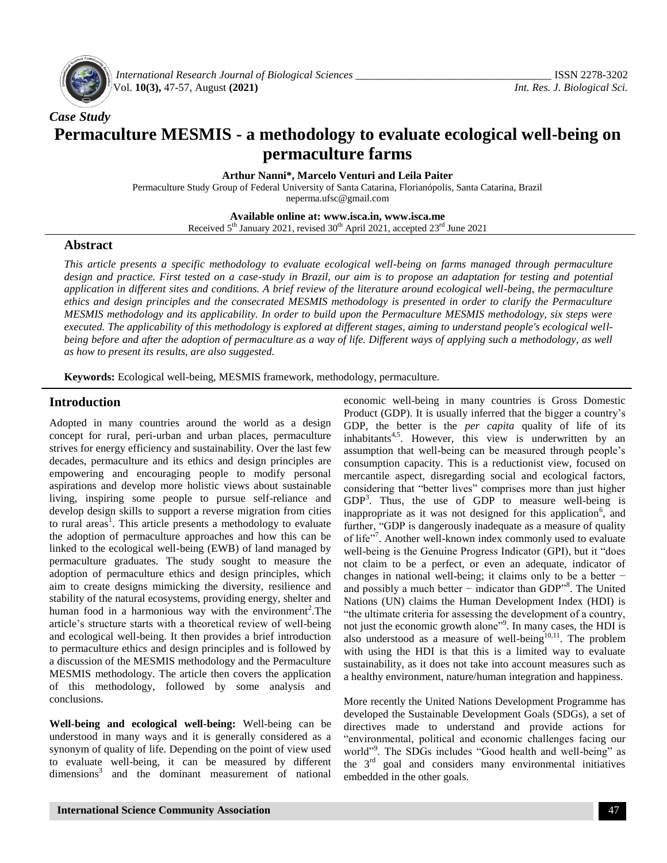

*International Research Journal of Biological Sciences \_\_\_\_\_\_\_\_\_\_\_\_\_\_\_\_\_\_\_\_\_\_\_\_\_\_\_\_\_\_\_\_\_\_\_\_* ISSN 2278-3202 Vol. **10(3),** 47-57, August **(2021)** *Int. Res. J. Biological Sci.*

# *Case Study* **Permaculture MESMIS - a methodology to evaluate ecological well-being on permaculture farms**

**Arthur Nanni\*, Marcelo Venturi and Leila Paiter**

Permaculture Study Group of Federal University of Santa Catarina, Florianópolis, Santa Catarina, Brazil [neperma.ufsc@gmail.com](mailto:neperma.ufsc@gmail.com)

**Available online at: www.isca.in, www.isca.me**

Received 5<sup>th</sup> January 2021, revised 30<sup>th</sup> April 2021, accepted 23<sup>rd</sup> June 2021

#### **Abstract**

*This article presents a specific methodology to evaluate ecological well-being on farms managed through permaculture design and practice. First tested on a case-study in Brazil, our aim is to propose an adaptation for testing and potential application in different sites and conditions. A brief review of the literature around ecological well-being, the permaculture ethics and design principles and the consecrated MESMIS methodology is presented in order to clarify the Permaculture MESMIS methodology and its applicability. In order to build upon the Permaculture MESMIS methodology, six steps were executed. The applicability of this methodology is explored at different stages, aiming to understand people's ecological well*being before and after the adoption of permaculture as a way of life. Different ways of applying such a methodology, as well *as how to present its results, are also suggested.*

**Keywords:** Ecological well-being, MESMIS framework, methodology, permaculture.

## **Introduction**

Adopted in many countries around the world as a design concept for rural, peri-urban and urban places, permaculture strives for energy efficiency and sustainability. Over the last few decades, permaculture and its ethics and design principles are empowering and encouraging people to modify personal aspirations and develop more holistic views about sustainable living, inspiring some people to pursue self-reliance and develop design skills to support a reverse migration from cities to rural areas<sup>1</sup>. This article presents a methodology to evaluate the adoption of permaculture approaches and how this can be linked to the ecological well-being (EWB) of land managed by permaculture graduates. The study sought to measure the adoption of permaculture ethics and design principles, which aim to create designs mimicking the diversity, resilience and stability of the natural ecosystems, providing energy, shelter and human food in a harmonious way with the environment<sup>2</sup>. The article's structure starts with a theoretical review of well-being and ecological well-being. It then provides a brief introduction to permaculture ethics and design principles and is followed by a discussion of the MESMIS methodology and the Permaculture MESMIS methodology. The article then covers the application of this methodology, followed by some analysis and conclusions.

**Well-being and ecological well-being:** Well-being can be understood in many ways and it is generally considered as a synonym of quality of life. Depending on the point of view used to evaluate well-being, it can be measured by different dimensions<sup>3</sup> and the dominant measurement of national

Product (GDP). It is usually inferred that the bigger a country's GDP, the better is the *per capita* quality of life of its inhabitants<sup>4,5</sup>. However, this view is underwritten by an assumption that well-being can be measured through people's consumption capacity. This is a reductionist view, focused on mercantile aspect, disregarding social and ecological factors, considering that "better lives" comprises more than just higher  $GDP<sup>3</sup>$ . Thus, the use of  $GDP$  to measure well-being is inappropriate as it was not designed for this application<sup>6</sup>, and further, "GDP is dangerously inadequate as a measure of quality of life"<sup>7</sup>. Another well-known index commonly used to evaluate well-being is the Genuine Progress Indicator (GPI), but it "does not claim to be a perfect, or even an adequate, indicator of changes in national well-being; it claims only to be a better − and possibly a much better − indicator than GDP"<sup>8</sup> . The United Nations (UN) claims the Human Development Index (HDI) is "the ultimate criteria for assessing the development of a country, not just the economic growth alone"<sup>9</sup>. In many cases, the HDI is also understood as a measure of well-being $10,11$ . The problem with using the HDI is that this is a limited way to evaluate sustainability, as it does not take into account measures such as a healthy environment, nature/human integration and happiness.

economic well-being in many countries is Gross Domestic

More recently the United Nations Development Programme has developed the Sustainable Development Goals (SDGs), a set of directives made to understand and provide actions for "environmental, political and economic challenges facing our world"<sup>9</sup>. The SDGs includes "Good health and well-being" as the  $3<sup>rd</sup>$  goal and considers many environmental initiatives embedded in the other goals.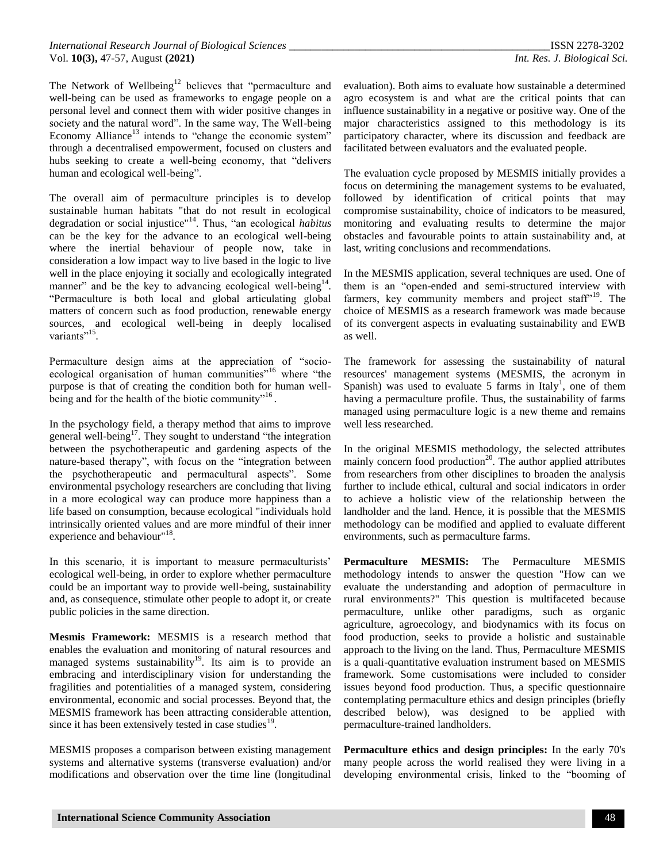The Network of Wellbeing<sup>12</sup> believes that "permaculture and well-being can be used as frameworks to engage people on a personal level and connect them with wider positive changes in society and the natural word". In the same way, The Well-being Economy Alliance<sup>13</sup> intends to "change the economic system" through a decentralised empowerment, focused on clusters and hubs seeking to create a well-being economy, that "delivers human and ecological well-being".

The overall aim of permaculture principles is to develop sustainable human habitats "that do not result in ecological degradation or social injustice"<sup>14</sup>. Thus, "an ecological *habitus* can be the key for the advance to an ecological well-being where the inertial behaviour of people now, take in consideration a low impact way to live based in the logic to live well in the place enjoying it socially and ecologically integrated manner" and be the key to advancing ecological well-being<sup>14</sup>. "Permaculture is both local and global articulating global matters of concern such as food production, renewable energy sources, and ecological well-being in deeply localised variants"<sup>15</sup>.

Permaculture design aims at the appreciation of "socioecological organisation of human communities<sup>"16</sup> where "the purpose is that of creating the condition both for human wellbeing and for the health of the biotic community"<sup>16</sup>.

In the psychology field, a therapy method that aims to improve general well-being<sup>17</sup>. They sought to understand "the integration" between the psychotherapeutic and gardening aspects of the nature-based therapy", with focus on the "integration between the psychotherapeutic and permacultural aspects". Some environmental psychology researchers are concluding that living in a more ecological way can produce more happiness than a life based on consumption, because ecological "individuals hold intrinsically oriented values and are more mindful of their inner experience and behaviour"<sup>18</sup>.

In this scenario, it is important to measure permaculturists' ecological well-being, in order to explore whether permaculture could be an important way to provide well-being, sustainability and, as consequence, stimulate other people to adopt it, or create public policies in the same direction.

**Mesmis Framework:** MESMIS is a research method that enables the evaluation and monitoring of natural resources and managed systems sustainability<sup>19</sup>. Its aim is to provide an embracing and interdisciplinary vision for understanding the fragilities and potentialities of a managed system, considering environmental, economic and social processes. Beyond that, the MESMIS framework has been attracting considerable attention, since it has been extensively tested in case studies $19$ .

MESMIS proposes a comparison between existing management systems and alternative systems (transverse evaluation) and/or modifications and observation over the time line (longitudinal

evaluation). Both aims to evaluate how sustainable a determined agro ecosystem is and what are the critical points that can influence sustainability in a negative or positive way. One of the major characteristics assigned to this methodology is its participatory character, where its discussion and feedback are facilitated between evaluators and the evaluated people.

The evaluation cycle proposed by MESMIS initially provides a focus on determining the management systems to be evaluated, followed by identification of critical points that may compromise sustainability, choice of indicators to be measured, monitoring and evaluating results to determine the major obstacles and favourable points to attain sustainability and, at last, writing conclusions and recommendations.

In the MESMIS application, several techniques are used. One of them is an "open-ended and semi-structured interview with farmers, key community members and project staff $19$ <sup>19</sup>. The choice of MESMIS as a research framework was made because of its convergent aspects in evaluating sustainability and EWB as well.

The framework for assessing the sustainability of natural resources' management systems (MESMIS, the acronym in Spanish) was used to evaluate 5 farms in Italy<sup>1</sup>, one of them having a permaculture profile. Thus, the sustainability of farms managed using permaculture logic is a new theme and remains well less researched.

In the original MESMIS methodology, the selected attributes mainly concern food production<sup>20</sup>. The author applied attributes from researchers from other disciplines to broaden the analysis further to include ethical, cultural and social indicators in order to achieve a holistic view of the relationship between the landholder and the land. Hence, it is possible that the MESMIS methodology can be modified and applied to evaluate different environments, such as permaculture farms.

**Permaculture MESMIS:** The Permaculture MESMIS methodology intends to answer the question "How can we evaluate the understanding and adoption of permaculture in rural environments?" This question is multifaceted because permaculture, unlike other paradigms, such as organic agriculture, agroecology, and biodynamics with its focus on food production, seeks to provide a holistic and sustainable approach to the living on the land. Thus, Permaculture MESMIS is a quali-quantitative evaluation instrument based on MESMIS framework. Some customisations were included to consider issues beyond food production. Thus, a specific questionnaire contemplating permaculture ethics and design principles (briefly described below), was designed to be applied with permaculture-trained landholders.

**Permaculture ethics and design principles:** In the early 70's many people across the world realised they were living in a developing environmental crisis, linked to the "booming of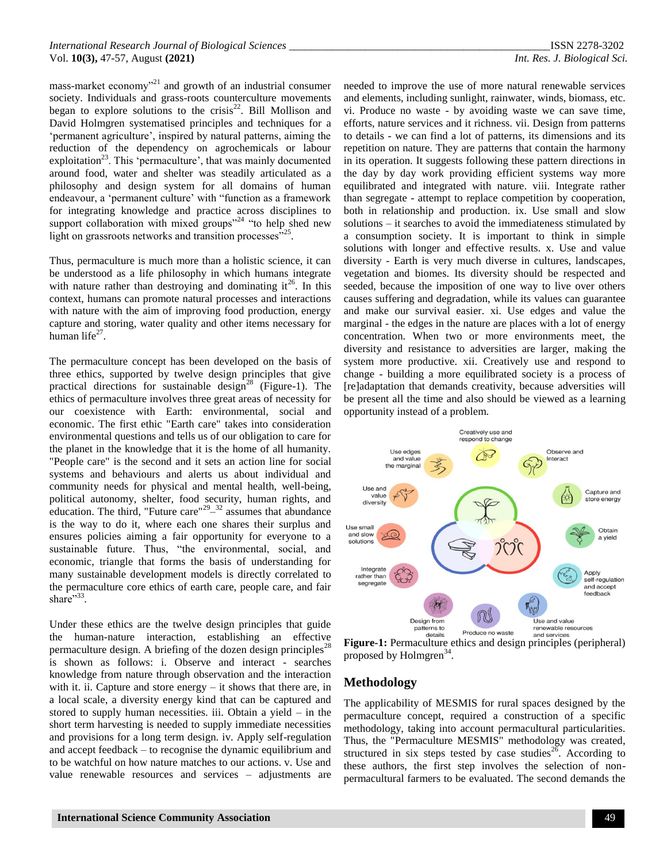mass-market economy<sup>321</sup> and growth of an industrial consumer society. Individuals and grass-roots counterculture movements began to explore solutions to the crisis<sup>22</sup>. Bill Mollison and David Holmgren systematised principles and techniques for a 'permanent agriculture', inspired by natural patterns, aiming the reduction of the dependency on agrochemicals or labour exploitation<sup>23</sup>. This 'permaculture', that was mainly documented around food, water and shelter was steadily articulated as a philosophy and design system for all domains of human endeavour, a 'permanent culture' with "function as a framework for integrating knowledge and practice across disciplines to support collaboration with mixed groups"<sup>24</sup> "to help shed new light on grassroots networks and transition processes"<sup>25</sup> .

Thus, permaculture is much more than a holistic science, it can be understood as a life philosophy in which humans integrate with nature rather than destroying and dominating  $it^{26}$ . In this context, humans can promote natural processes and interactions with nature with the aim of improving food production, energy capture and storing, water quality and other items necessary for human life $^{27}$ .

The permaculture concept has been developed on the basis of three ethics, supported by twelve design principles that give practical directions for sustainable design<sup>28</sup> (Figure-1). The ethics of permaculture involves three great areas of necessity for our coexistence with Earth: environmental, social and economic. The first ethic "Earth care" takes into consideration environmental questions and tells us of our obligation to care for the planet in the knowledge that it is the home of all humanity. "People care" is the second and it sets an action line for social systems and behaviours and alerts us about individual and community needs for physical and mental health, well-being, political autonomy, shelter, food security, human rights, and education. The third, "Future care"<sup>29\_32</sup> assumes that abundance is the way to do it, where each one shares their surplus and ensures policies aiming a fair opportunity for everyone to a sustainable future. Thus, "the environmental, social, and economic, triangle that forms the basis of understanding for many sustainable development models is directly correlated to the permaculture core ethics of earth care, people care, and fair share"<sup>33</sup>.

Under these ethics are the twelve design principles that guide the human-nature interaction, establishing an effective permaculture design. A briefing of the dozen design principles<sup>28</sup> is shown as follows: i. Observe and interact - searches knowledge from nature through observation and the interaction with it. ii. Capture and store energy – it shows that there are, in a local scale, a diversity energy kind that can be captured and stored to supply human necessities. iii. Obtain a yield – in the short term harvesting is needed to supply immediate necessities and provisions for a long term design. iv. Apply self-regulation and accept feedback – to recognise the dynamic equilibrium and to be watchful on how nature matches to our actions. v. Use and value renewable resources and services – adjustments are

needed to improve the use of more natural renewable services and elements, including sunlight, rainwater, winds, biomass, etc. vi. Produce no waste - by avoiding waste we can save time, efforts, nature services and it richness. vii. Design from patterns to details - we can find a lot of patterns, its dimensions and its repetition on nature. They are patterns that contain the harmony in its operation. It suggests following these pattern directions in the day by day work providing efficient systems way more equilibrated and integrated with nature. viii. Integrate rather than segregate - attempt to replace competition by cooperation, both in relationship and production. ix. Use small and slow solutions – it searches to avoid the immediateness stimulated by a consumption society. It is important to think in simple solutions with longer and effective results. x. Use and value diversity - Earth is very much diverse in cultures, landscapes, vegetation and biomes. Its diversity should be respected and seeded, because the imposition of one way to live over others causes suffering and degradation, while its values can guarantee and make our survival easier. xi. Use edges and value the marginal - the edges in the nature are places with a lot of energy concentration. When two or more environments meet, the diversity and resistance to adversities are larger, making the system more productive. xii. Creatively use and respond to change - building a more equilibrated society is a process of [re]adaptation that demands creativity, because adversities will be present all the time and also should be viewed as a learning opportunity instead of a problem.



**Figure-1:** Permaculture ethics and design principles (peripheral) proposed by Holmgren<sup>34</sup>.

## **Methodology**

The applicability of MESMIS for rural spaces designed by the permaculture concept, required a construction of a specific methodology, taking into account permacultural particularities. Thus, the "Permaculture MESMIS" methodology was created, structured in six steps tested by case studies<sup>26</sup>. According to these authors, the first step involves the selection of nonpermacultural farmers to be evaluated. The second demands the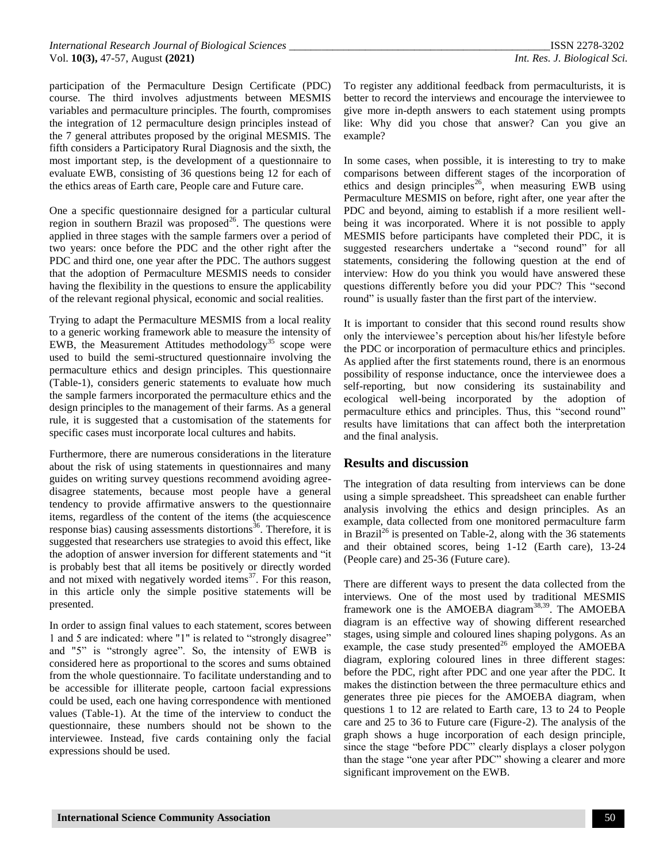participation of the Permaculture Design Certificate (PDC) course. The third involves adjustments between MESMIS variables and permaculture principles. The fourth, compromises the integration of 12 permaculture design principles instead of the 7 general attributes proposed by the original MESMIS. The fifth considers a Participatory Rural Diagnosis and the sixth, the most important step, is the development of a questionnaire to evaluate EWB, consisting of 36 questions being 12 for each of the ethics areas of Earth care, People care and Future care.

One a specific questionnaire designed for a particular cultural region in southern Brazil was proposed<sup>26</sup>. The questions were applied in three stages with the sample farmers over a period of two years: once before the PDC and the other right after the PDC and third one, one year after the PDC. The authors suggest that the adoption of Permaculture MESMIS needs to consider having the flexibility in the questions to ensure the applicability of the relevant regional physical, economic and social realities.

Trying to adapt the Permaculture MESMIS from a local reality to a generic working framework able to measure the intensity of EWB, the Measurement Attitudes methodology<sup>35</sup> scope were used to build the semi-structured questionnaire involving the permaculture ethics and design principles. This questionnaire (Table-1), considers generic statements to evaluate how much the sample farmers incorporated the permaculture ethics and the design principles to the management of their farms. As a general rule, it is suggested that a customisation of the statements for specific cases must incorporate local cultures and habits.

Furthermore, there are numerous considerations in the literature about the risk of using statements in questionnaires and many guides on writing survey questions recommend avoiding agreedisagree statements, because most people have a general tendency to provide affirmative answers to the questionnaire items, regardless of the content of the items (the acquiescence response bias) causing assessments distortions<sup>36</sup>. Therefore, it is suggested that researchers use strategies to avoid this effect, like the adoption of answer inversion for different statements and "it is probably best that all items be positively or directly worded and not mixed with negatively worded items $37$ . For this reason, in this article only the simple positive statements will be presented.

In order to assign final values to each statement, scores between 1 and 5 are indicated: where "1" is related to "strongly disagree" and "5" is "strongly agree". So, the intensity of EWB is considered here as proportional to the scores and sums obtained from the whole questionnaire. To facilitate understanding and to be accessible for illiterate people, cartoon facial expressions could be used, each one having correspondence with mentioned values (Table-1). At the time of the interview to conduct the questionnaire, these numbers should not be shown to the interviewee. Instead, five cards containing only the facial expressions should be used.

To register any additional feedback from permaculturists, it is better to record the interviews and encourage the interviewee to give more in-depth answers to each statement using prompts like: Why did you chose that answer? Can you give an example?

In some cases, when possible, it is interesting to try to make comparisons between different stages of the incorporation of ethics and design principles<sup>26</sup>, when measuring EWB using Permaculture MESMIS on before, right after, one year after the PDC and beyond, aiming to establish if a more resilient wellbeing it was incorporated. Where it is not possible to apply MESMIS before participants have completed their PDC, it is suggested researchers undertake a "second round" for all statements, considering the following question at the end of interview: How do you think you would have answered these questions differently before you did your PDC? This "second round" is usually faster than the first part of the interview.

It is important to consider that this second round results show only the interviewee's perception about his/her lifestyle before the PDC or incorporation of permaculture ethics and principles. As applied after the first statements round, there is an enormous possibility of response inductance, once the interviewee does a self-reporting, but now considering its sustainability and ecological well-being incorporated by the adoption of permaculture ethics and principles. Thus, this "second round" results have limitations that can affect both the interpretation and the final analysis.

## **Results and discussion**

The integration of data resulting from interviews can be done using a simple spreadsheet. This spreadsheet can enable further analysis involving the ethics and design principles. As an example, data collected from one monitored permaculture farm in Brazil<sup>26</sup> is presented on Table-2, along with the 36 statements and their obtained scores, being 1-12 (Earth care), 13-24 (People care) and 25-36 (Future care).

There are different ways to present the data collected from the interviews. One of the most used by traditional MESMIS framework one is the AMOEBA diagram<sup>38,39</sup>. The AMOEBA diagram is an effective way of showing different researched stages, using simple and coloured lines shaping polygons. As an example, the case study presented $^{26}$  employed the AMOEBA diagram, exploring coloured lines in three different stages: before the PDC, right after PDC and one year after the PDC. It makes the distinction between the three permaculture ethics and generates three pie pieces for the AMOEBA diagram, when questions 1 to 12 are related to Earth care, 13 to 24 to People care and 25 to 36 to Future care (Figure-2). The analysis of the graph shows a huge incorporation of each design principle, since the stage "before PDC" clearly displays a closer polygon than the stage "one year after PDC" showing a clearer and more significant improvement on the EWB.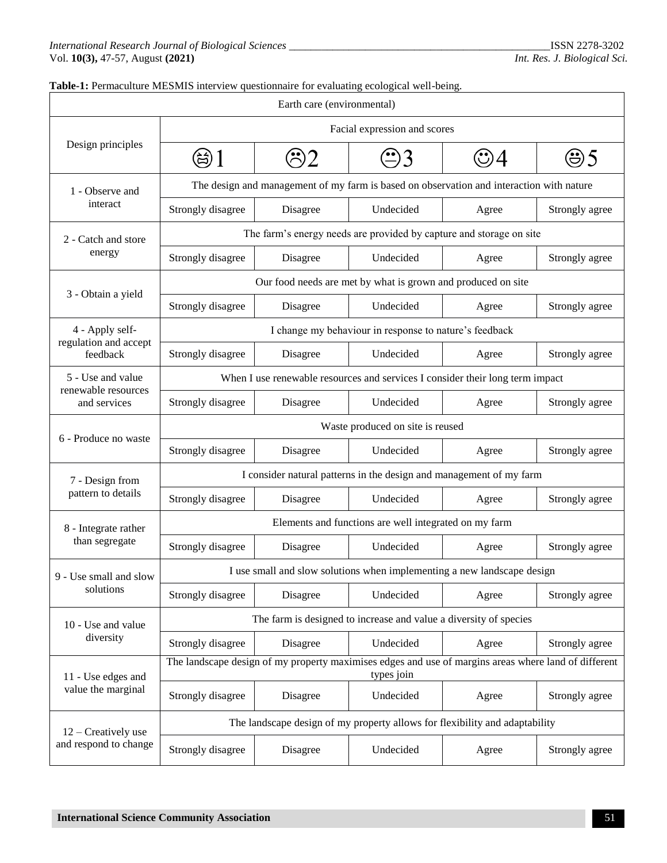#### **Table-1:** Permaculture MESMIS interview questionnaire for evaluating ecological well-being.

| Earth care (environmental)               |                                                                                                                    |          |           |       |                |  |  |
|------------------------------------------|--------------------------------------------------------------------------------------------------------------------|----------|-----------|-------|----------------|--|--|
|                                          | Facial expression and scores                                                                                       |          |           |       |                |  |  |
| Design principles                        |                                                                                                                    |          |           | 95    |                |  |  |
| 1 - Observe and<br>interact              | The design and management of my farm is based on observation and interaction with nature                           |          |           |       |                |  |  |
|                                          | Strongly disagree                                                                                                  | Disagree | Undecided | Agree | Strongly agree |  |  |
| 2 - Catch and store                      | The farm's energy needs are provided by capture and storage on site                                                |          |           |       |                |  |  |
| energy                                   | Strongly disagree                                                                                                  | Disagree | Undecided | Agree | Strongly agree |  |  |
|                                          | Our food needs are met by what is grown and produced on site                                                       |          |           |       |                |  |  |
| 3 - Obtain a yield                       | Strongly disagree                                                                                                  | Disagree | Undecided | Agree | Strongly agree |  |  |
| 4 - Apply self-                          | I change my behaviour in response to nature's feedback                                                             |          |           |       |                |  |  |
| regulation and accept<br>feedback        | Strongly disagree                                                                                                  | Disagree | Undecided | Agree | Strongly agree |  |  |
| 5 - Use and value<br>renewable resources | When I use renewable resources and services I consider their long term impact                                      |          |           |       |                |  |  |
| and services                             | Strongly disagree                                                                                                  | Disagree | Undecided | Agree | Strongly agree |  |  |
|                                          | Waste produced on site is reused                                                                                   |          |           |       |                |  |  |
| 6 - Produce no waste                     | Strongly disagree                                                                                                  | Disagree | Undecided | Agree | Strongly agree |  |  |
| 7 - Design from                          | I consider natural patterns in the design and management of my farm                                                |          |           |       |                |  |  |
| pattern to details                       | Strongly disagree                                                                                                  | Disagree | Undecided | Agree | Strongly agree |  |  |
| 8 - Integrate rather                     | Elements and functions are well integrated on my farm                                                              |          |           |       |                |  |  |
| than segregate                           | Strongly disagree                                                                                                  | Disagree | Undecided | Agree | Strongly agree |  |  |
| 9 - Use small and slow                   | I use small and slow solutions when implementing a new landscape design                                            |          |           |       |                |  |  |
| solutions                                | Strongly disagree                                                                                                  | Disagree | Undecided | Agree | Strongly agree |  |  |
| 10 - Use and value                       | The farm is designed to increase and value a diversity of species                                                  |          |           |       |                |  |  |
| diversity                                | Strongly disagree                                                                                                  | Disagree | Undecided | Agree | Strongly agree |  |  |
| 11 - Use edges and                       | The landscape design of my property maximises edges and use of margins areas where land of different<br>types join |          |           |       |                |  |  |
| value the marginal                       | Strongly disagree                                                                                                  | Disagree | Undecided | Agree | Strongly agree |  |  |
| 12 – Creatively use                      | The landscape design of my property allows for flexibility and adaptability                                        |          |           |       |                |  |  |
| and respond to change                    | Strongly disagree                                                                                                  | Disagree | Undecided | Agree | Strongly agree |  |  |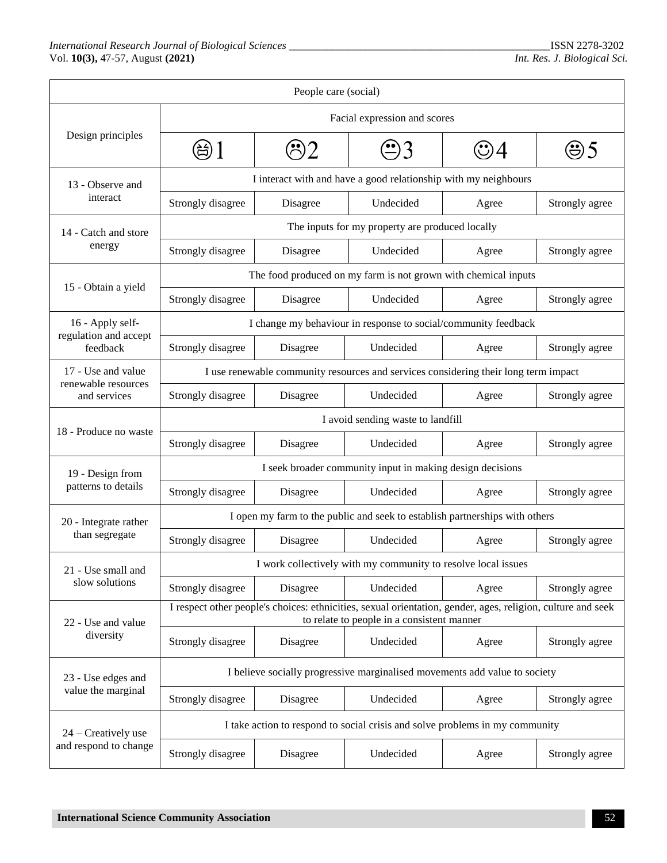| People care (social)                      |                                                                                                                                                           |          |           |       |                |  |  |
|-------------------------------------------|-----------------------------------------------------------------------------------------------------------------------------------------------------------|----------|-----------|-------|----------------|--|--|
|                                           | Facial expression and scores                                                                                                                              |          |           |       |                |  |  |
| Design principles                         | (台)                                                                                                                                                       |          |           | అ5    |                |  |  |
| 13 - Observe and<br>interact              | I interact with and have a good relationship with my neighbours                                                                                           |          |           |       |                |  |  |
|                                           | Strongly disagree                                                                                                                                         | Disagree | Undecided | Agree | Strongly agree |  |  |
| 14 - Catch and store<br>energy            | The inputs for my property are produced locally                                                                                                           |          |           |       |                |  |  |
|                                           | Strongly disagree                                                                                                                                         | Disagree | Undecided | Agree | Strongly agree |  |  |
| 15 - Obtain a yield                       | The food produced on my farm is not grown with chemical inputs                                                                                            |          |           |       |                |  |  |
|                                           | Strongly disagree                                                                                                                                         | Disagree | Undecided | Agree | Strongly agree |  |  |
| 16 - Apply self-                          | I change my behaviour in response to social/community feedback                                                                                            |          |           |       |                |  |  |
| regulation and accept<br>feedback         | Strongly disagree                                                                                                                                         | Disagree | Undecided | Agree | Strongly agree |  |  |
| 17 - Use and value<br>renewable resources | I use renewable community resources and services considering their long term impact                                                                       |          |           |       |                |  |  |
| and services                              | Strongly disagree                                                                                                                                         | Disagree | Undecided | Agree | Strongly agree |  |  |
| 18 - Produce no waste                     | I avoid sending waste to landfill                                                                                                                         |          |           |       |                |  |  |
|                                           | Strongly disagree                                                                                                                                         | Disagree | Undecided | Agree | Strongly agree |  |  |
| 19 - Design from                          | I seek broader community input in making design decisions                                                                                                 |          |           |       |                |  |  |
| patterns to details                       | Strongly disagree                                                                                                                                         | Disagree | Undecided | Agree | Strongly agree |  |  |
| 20 - Integrate rather<br>than segregate   | I open my farm to the public and seek to establish partnerships with others                                                                               |          |           |       |                |  |  |
|                                           | Strongly disagree                                                                                                                                         | Disagree | Undecided | Agree | Strongly agree |  |  |
| 21 - Use small and                        | I work collectively with my community to resolve local issues                                                                                             |          |           |       |                |  |  |
| slow solutions                            | Strongly disagree                                                                                                                                         | Disagree | Undecided | Agree | Strongly agree |  |  |
| 22 - Use and value                        | I respect other people's choices: ethnicities, sexual orientation, gender, ages, religion, culture and seek<br>to relate to people in a consistent manner |          |           |       |                |  |  |
| diversity                                 | Strongly disagree                                                                                                                                         | Disagree | Undecided | Agree | Strongly agree |  |  |
| 23 - Use edges and                        | I believe socially progressive marginalised movements add value to society                                                                                |          |           |       |                |  |  |
| value the marginal                        | Strongly disagree                                                                                                                                         | Disagree | Undecided | Agree | Strongly agree |  |  |
| 24 – Creatively use                       | I take action to respond to social crisis and solve problems in my community                                                                              |          |           |       |                |  |  |
| and respond to change                     | Strongly disagree                                                                                                                                         | Disagree | Undecided | Agree | Strongly agree |  |  |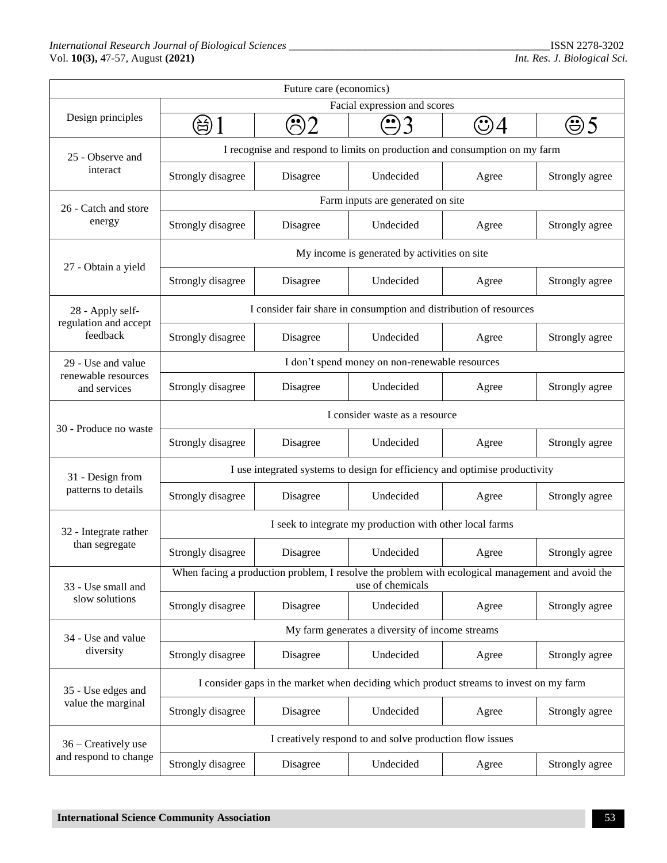| Future care (economics)                      |                                                                                                                      |                       |           |                |                |  |  |
|----------------------------------------------|----------------------------------------------------------------------------------------------------------------------|-----------------------|-----------|----------------|----------------|--|--|
| Design principles                            | Facial expression and scores                                                                                         |                       |           |                |                |  |  |
|                                              | 总                                                                                                                    | $\mathbb{R}$          |           |                | 95             |  |  |
| 25 - Observe and<br>interact                 | I recognise and respond to limits on production and consumption on my farm                                           |                       |           |                |                |  |  |
|                                              | Strongly disagree<br>Disagree<br>Undecided                                                                           |                       | Agree     | Strongly agree |                |  |  |
| 26 - Catch and store<br>energy               | Farm inputs are generated on site                                                                                    |                       |           |                |                |  |  |
|                                              | Strongly disagree                                                                                                    | Undecided<br>Disagree |           | Agree          | Strongly agree |  |  |
| 27 - Obtain a yield                          | My income is generated by activities on site                                                                         |                       |           |                |                |  |  |
|                                              | Strongly disagree                                                                                                    | Disagree              | Undecided | Agree          | Strongly agree |  |  |
| 28 - Apply self-                             | I consider fair share in consumption and distribution of resources                                                   |                       |           |                |                |  |  |
| regulation and accept<br>feedback            | Strongly disagree                                                                                                    | Disagree              | Undecided | Agree          | Strongly agree |  |  |
| 29 - Use and value                           | I don't spend money on non-renewable resources                                                                       |                       |           |                |                |  |  |
| renewable resources<br>and services          | Strongly disagree                                                                                                    | Undecided<br>Disagree |           | Agree          | Strongly agree |  |  |
|                                              | I consider waste as a resource                                                                                       |                       |           |                |                |  |  |
| 30 - Produce no waste                        | Strongly disagree                                                                                                    | Disagree              | Undecided | Agree          | Strongly agree |  |  |
| 31 - Design from                             | I use integrated systems to design for efficiency and optimise productivity                                          |                       |           |                |                |  |  |
| patterns to details                          | Strongly disagree                                                                                                    | Disagree              | Undecided | Agree          | Strongly agree |  |  |
| 32 - Integrate rather<br>than segregate      | I seek to integrate my production with other local farms                                                             |                       |           |                |                |  |  |
|                                              | Strongly disagree                                                                                                    | Disagree              | Undecided | Agree          | Strongly agree |  |  |
| 33 - Use small and                           | When facing a production problem, I resolve the problem with ecological management and avoid the<br>use of chemicals |                       |           |                |                |  |  |
| slow solutions                               | Strongly disagree                                                                                                    | Disagree              | Undecided | Agree          | Strongly agree |  |  |
| 34 - Use and value<br>diversity              | My farm generates a diversity of income streams                                                                      |                       |           |                |                |  |  |
|                                              | Strongly disagree                                                                                                    | Disagree              | Undecided | Agree          | Strongly agree |  |  |
| 35 - Use edges and<br>value the marginal     | I consider gaps in the market when deciding which product streams to invest on my farm                               |                       |           |                |                |  |  |
|                                              | Strongly disagree                                                                                                    | Disagree              | Undecided | Agree          | Strongly agree |  |  |
| 36 – Creatively use<br>and respond to change | I creatively respond to and solve production flow issues                                                             |                       |           |                |                |  |  |
|                                              | Strongly disagree                                                                                                    | Disagree              | Undecided | Agree          | Strongly agree |  |  |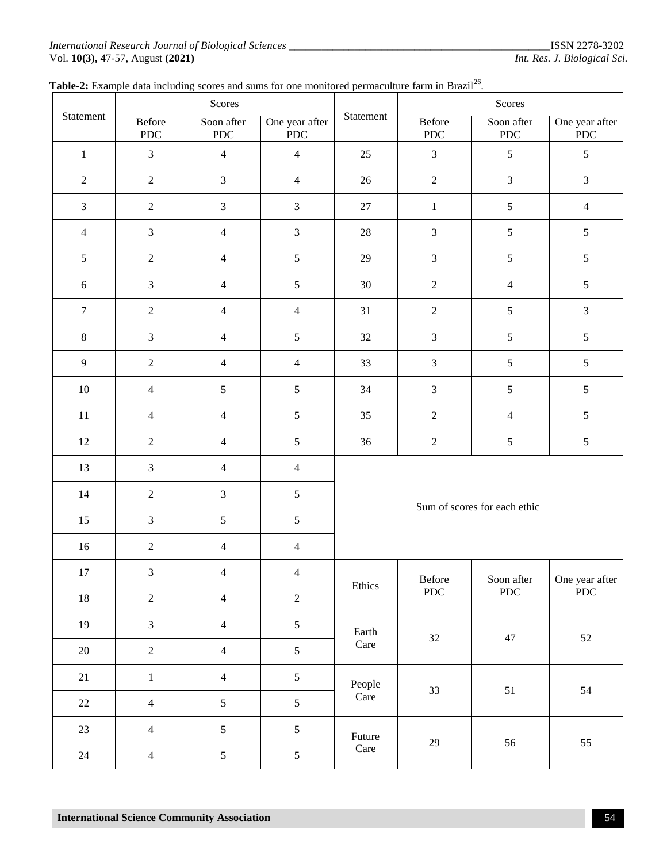#### *International Research Journal of Biological Sciences \_\_\_\_\_\_\_\_\_\_\_\_\_\_\_\_\_\_\_\_\_\_\_\_\_\_\_\_\_\_\_\_\_\_\_*\_\_\_\_\_\_\_\_\_\_\_\_\_ISSN 2278-3202 Vol. **10(3),** 47-57, August **(2021)** *Int. Res. J. Biological Sci.*

| Statement        | Scores               |                          |                               |                              | Scores                      |                           |                               |
|------------------|----------------------|--------------------------|-------------------------------|------------------------------|-----------------------------|---------------------------|-------------------------------|
|                  | Before<br><b>PDC</b> | Soon after<br><b>PDC</b> | One year after<br>${\rm PDC}$ | Statement                    | Before<br>PDC               | Soon after<br><b>PDC</b>  | One year after<br><b>PDC</b>  |
| $\,1\,$          | $\mathfrak{Z}$       | $\overline{4}$           | $\overline{4}$                | 25                           | $\ensuremath{\mathfrak{Z}}$ | $\mathfrak{S}$            | 5                             |
| $\sqrt{2}$       | $\sqrt{2}$           | $\mathfrak{Z}$           | $\overline{\mathcal{L}}$      | 26                           | $\sqrt{2}$                  | $\mathfrak{Z}$            | 3                             |
| $\mathfrak{Z}$   | $\sqrt{2}$           | $\mathfrak{Z}$           | 3                             | $27\,$                       | $\mathbf{1}$                | $\mathfrak{S}$            | $\overline{4}$                |
| $\overline{4}$   | $\mathfrak{Z}$       | $\overline{4}$           | 3                             | 28                           | $\mathfrak{Z}$              | $\mathfrak{S}$            | 5                             |
| $\sqrt{5}$       | $\sqrt{2}$           | $\overline{4}$           | 5                             | 29                           | $\mathfrak{Z}$              | $\mathfrak{S}$            | 5                             |
| $6\,$            | $\mathfrak{Z}$       | $\overline{4}$           | 5                             | 30                           | $\sqrt{2}$                  | $\overline{4}$            | 5                             |
| $\boldsymbol{7}$ | $\sqrt{2}$           | $\overline{4}$           | $\overline{\mathcal{L}}$      | 31                           | $\sqrt{2}$                  | $\mathfrak{S}$            | 3                             |
| $\,8\,$          | $\mathfrak{Z}$       | $\overline{4}$           | 5                             | $32\,$                       | $\mathfrak{Z}$              | $\mathfrak{S}$            | 5                             |
| $\overline{9}$   | $\sqrt{2}$           | $\overline{4}$           | $\overline{\mathcal{A}}$      | 33                           | $\mathfrak{Z}$              | $\mathfrak{S}$            | 5                             |
| 10               | $\overline{4}$       | $\sqrt{5}$               | 5                             | 34                           | $\ensuremath{\mathfrak{Z}}$ | $\mathfrak{S}$            | 5                             |
| $11\,$           | $\overline{4}$       | $\overline{4}$           | 5                             | 35                           | $\sqrt{2}$                  | $\overline{4}$            | 5                             |
| 12               | $\sqrt{2}$           | $\overline{4}$           | 5                             | 36                           | $\sqrt{2}$                  | $\mathfrak{S}$            | 5                             |
| 13               | $\mathfrak{Z}$       | $\overline{4}$           | $\overline{\mathcal{L}}$      | Sum of scores for each ethic |                             |                           |                               |
| 14               | $\sqrt{2}$           | $\mathfrak{Z}$           | 5                             |                              |                             |                           |                               |
| 15               | $\mathfrak{Z}$       | $\sqrt{5}$               | 5                             |                              |                             |                           |                               |
| 16               | $\sqrt{2}$           | $\overline{4}$           | $\overline{\mathcal{A}}$      |                              |                             |                           |                               |
| 17               | $\mathfrak{Z}$       | $\overline{4}$           | $\overline{\mathbf{4}}$       |                              | Before<br>${\rm PDC}$       | Soon after<br>${\rm PDC}$ | One year after<br>${\rm PDC}$ |
| $18\,$           | $\overline{2}$       | $\overline{4}$           | $\overline{c}$                | Ethics                       |                             |                           |                               |
| 19               | $\overline{3}$       | $\overline{4}$           | 5                             | Earth<br>Care                | $32\,$                      | $47\,$                    | $52\,$                        |
| $20\,$           | $\overline{2}$       | $\overline{4}$           | 5                             |                              |                             |                           |                               |
| $21\,$           | $\mathbf{1}$         | $\overline{4}$           | 5                             |                              | People<br>33<br>Care        | $51\,$                    | 54                            |
| 22               | $\overline{4}$       | $\mathfrak{S}$           | 5                             |                              |                             |                           |                               |
| 23               | $\overline{4}$       | $\mathfrak{S}$           | 5                             | Future                       |                             |                           | 55                            |
| $24\,$           | $\overline{4}$       | $\mathfrak{S}$           | 5                             | Care                         | $29\,$                      | 56                        |                               |

## Table-2: Example data including scores and sums for one monitored permaculture farm in Brazil<sup>26</sup>.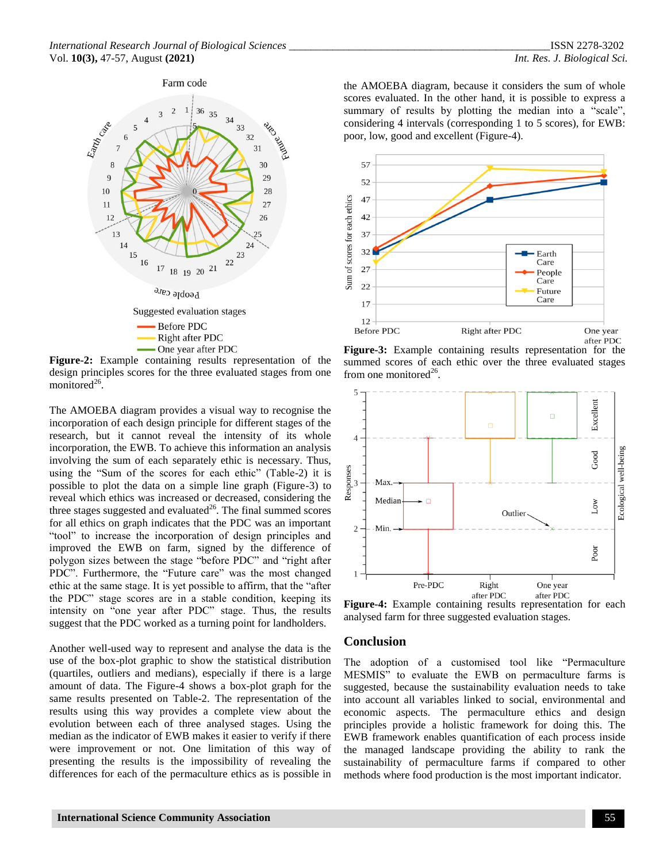

**Figure-2:** Example containing results representation of the design principles scores for the three evaluated stages from one monitored<sup>26</sup>.

The AMOEBA diagram provides a visual way to recognise the incorporation of each design principle for different stages of the research, but it cannot reveal the intensity of its whole incorporation, the EWB. To achieve this information an analysis involving the sum of each separately ethic is necessary. Thus, using the "Sum of the scores for each ethic" (Table-2) it is possible to plot the data on a simple line graph (Figure-3) to reveal which ethics was increased or decreased, considering the three stages suggested and evaluated $^{26}$ . The final summed scores for all ethics on graph indicates that the PDC was an important "tool" to increase the incorporation of design principles and improved the EWB on farm, signed by the difference of polygon sizes between the stage "before PDC" and "right after PDC". Furthermore, the "Future care" was the most changed ethic at the same stage. It is yet possible to affirm, that the "after the PDC" stage scores are in a stable condition, keeping its intensity on "one year after PDC" stage. Thus, the results suggest that the PDC worked as a turning point for landholders.

Another well-used way to represent and analyse the data is the use of the box-plot graphic to show the statistical distribution (quartiles, outliers and medians), especially if there is a large amount of data. The Figure-4 shows a box-plot graph for the same results presented on Table-2. The representation of the results using this way provides a complete view about the evolution between each of three analysed stages. Using the median as the indicator of EWB makes it easier to verify if there were improvement or not. One limitation of this way of presenting the results is the impossibility of revealing the differences for each of the permaculture ethics as is possible in

the AMOEBA diagram, because it considers the sum of whole scores evaluated. In the other hand, it is possible to express a summary of results by plotting the median into a "scale", considering 4 intervals (corresponding 1 to 5 scores), for EWB: poor, low, good and excellent (Figure-4).







**Figure-4:** Example containing results representation for each analysed farm for three suggested evaluation stages.

#### **Conclusion**

The adoption of a customised tool like "Permaculture MESMIS" to evaluate the EWB on permaculture farms is suggested, because the sustainability evaluation needs to take into account all variables linked to social, environmental and economic aspects. The permaculture ethics and design principles provide a holistic framework for doing this. The EWB framework enables quantification of each process inside the managed landscape providing the ability to rank the sustainability of permaculture farms if compared to other methods where food production is the most important indicator.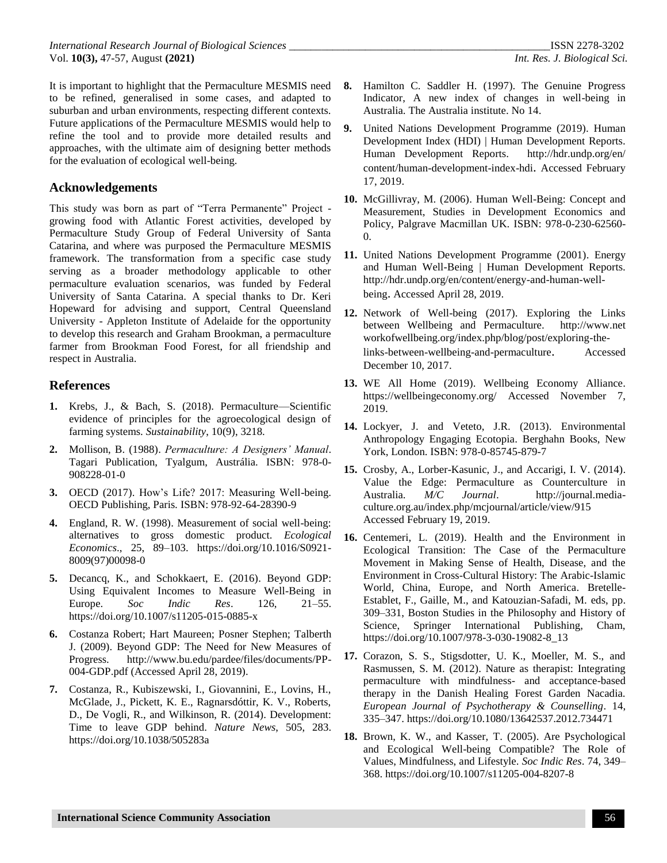It is important to highlight that the Permaculture MESMIS need to be refined, generalised in some cases, and adapted to suburban and urban environments, respecting different contexts. Future applications of the Permaculture MESMIS would help to refine the tool and to provide more detailed results and approaches, with the ultimate aim of designing better methods for the evaluation of ecological well-being.

# **Acknowledgements**

This study was born as part of "Terra Permanente" Project growing food with Atlantic Forest activities, developed by Permaculture Study Group of Federal University of Santa Catarina, and where was purposed the Permaculture MESMIS framework. The transformation from a specific case study serving as a broader methodology applicable to other permaculture evaluation scenarios, was funded by Federal University of Santa Catarina. A special thanks to Dr. Keri Hopeward for advising and support, Central Queensland University - Appleton Institute of Adelaide for the opportunity to develop this research and Graham Brookman, a permaculture farmer from Brookman Food Forest, for all friendship and respect in Australia.

# **References**

- **1.** Krebs, J., & Bach, S. (2018). Permaculture—Scientific evidence of principles for the agroecological design of farming systems. *Sustainability*, 10(9), 3218.
- **2.** Mollison, B. (1988). *Permaculture: A Designers' Manual*. Tagari Publication, Tyalgum, Austrália. ISBN: 978-0- 908228-01-0
- **3.** OECD (2017). How's Life? 2017: Measuring Well-being. OECD Publishing, Paris*.* ISBN: 978-92-64-28390-9
- **4.** England, R. W. (1998). Measurement of social well-being: alternatives to gross domestic product. *Ecological Economics*., 25, 89–103. [https://doi.org/10.1016/S0921-](https://doi.org/10.1016/S0921-8009(97)00098-0) [8009\(97\)00098-0](https://doi.org/10.1016/S0921-8009(97)00098-0)
- **5.** Decancq, K., and Schokkaert, E. (2016). Beyond GDP: Using Equivalent Incomes to Measure Well-Being in Europe. *Soc Indic Res*. 126, 21–55. <https://doi.org/10.1007/s11205-015-0885-x>
- **6.** Costanza Robert; Hart Maureen; Posner Stephen; Talberth J. (2009). Beyond GDP: The Need for New Measures of Progress. [http://www.bu.edu/pardee/files/documents/PP-](http://www.bu.edu/pardee/files/documents/PP-004-GDP.pdf)[004-GDP.pdf](http://www.bu.edu/pardee/files/documents/PP-004-GDP.pdf) (Accessed April 28, 2019).
- **7.** Costanza, R., Kubiszewski, I., Giovannini, E., Lovins, H., McGlade, J., Pickett, K. E., Ragnarsdóttir, K. V., Roberts, D., De Vogli, R., and Wilkinson, R. (2014). Development: Time to leave GDP behind. *Nature News*, 505, 283. <https://doi.org/10.1038/505283a>
- **8.** Hamilton C. Saddler H. (1997). The Genuine Progress Indicator, A new index of changes in well-being in Australia. The Australia institute. No 14.
- **9.** United Nations Development Programme (2019). Human Development Index (HDI) | Human Development Reports. Human Development Reports. [http://hdr.undp.org/en/](http://hdr.undp.org/en/content/human-development-index-hdi) [content/human-development-index-hdi](http://hdr.undp.org/en/content/human-development-index-hdi). Accessed February 17, 2019.
- **10.** McGillivray, M. (2006). Human Well-Being: Concept and Measurement, Studies in Development Economics and Policy, Palgrave Macmillan UK. ISBN: 978-0-230-62560-  $\Omega$ .
- **11.** United Nations Development Programme (2001). Energy and Human Well-Being | Human Development Reports. [http://hdr.undp.org/en/content/energy-and-human-well](http://hdr.undp.org/en/content/energy-and-human-well-being)[being](http://hdr.undp.org/en/content/energy-and-human-well-being). Accessed April 28, 2019.
- **12.** Network of Well-being (2017). Exploring the Links between Wellbeing and Permaculture. [http://www.net](http://www.networkofwellbeing.org/index.php/blog/post/exploring-the-links-between-wellbeing-and-permaculture) [workofwellbeing.org/index.php/blog/post/exploring-the](http://www.networkofwellbeing.org/index.php/blog/post/exploring-the-links-between-wellbeing-and-permaculture)[links-between-wellbeing-and-permaculture](http://www.networkofwellbeing.org/index.php/blog/post/exploring-the-links-between-wellbeing-and-permaculture). Accessed December 10, 2017.
- **13.** WE All Home (2019). Wellbeing Economy Alliance. <https://wellbeingeconomy.org/> Accessed November 7, 2019.
- **14.** Lockyer, J. and Veteto, J.R. (2013). Environmental Anthropology Engaging Ecotopia. Berghahn Books, New York, London. ISBN: 978-0-85745-879-7
- **15.** Crosby, A., Lorber-Kasunic, J., and Accarigi, I. V. (2014). Value the Edge: Permaculture as Counterculture in Australia. *M/C Journal*. [http://journal.media](http://journal.media-culture.org.au/index.php/mcjournal/article/view/915)[culture.org.au/index.php/mcjournal/article/view/915](http://journal.media-culture.org.au/index.php/mcjournal/article/view/915) Accessed February 19, 2019.
- **16.** Centemeri, L. (2019). Health and the Environment in Ecological Transition: The Case of the Permaculture Movement in Making Sense of Health, Disease, and the Environment in Cross-Cultural History: The Arabic-Islamic World, China, Europe, and North America. Bretelle-Establet, F., Gaille, M., and Katouzian-Safadi, M. eds, pp. 309–331, Boston Studies in the Philosophy and History of Science, Springer International Publishing, Cham, [https://doi.org/10.1007/978-3-030-19082-8\\_13](https://doi.org/10.1007/978-3-030-19082-8_13)
- **17.** Corazon, S. S., Stigsdotter, U. K., Moeller, M. S., and Rasmussen, S. M. (2012). Nature as therapist: Integrating permaculture with mindfulness- and acceptance-based therapy in the Danish Healing Forest Garden Nacadia. *European Journal of Psychotherapy & Counselling*. 14, 335–347[. https://doi.org/10.1080/13642537.2012.734471](https://doi.org/10.1080/13642537.2012.734471)
- **18.** Brown, K. W., and Kasser, T. (2005). Are Psychological and Ecological Well-being Compatible? The Role of Values, Mindfulness, and Lifestyle. *Soc Indic Res*. 74, 349– 368[. https://doi.org/10.1007/s11205-004-8207-8](https://doi.org/10.1007/s11205-004-8207-8)